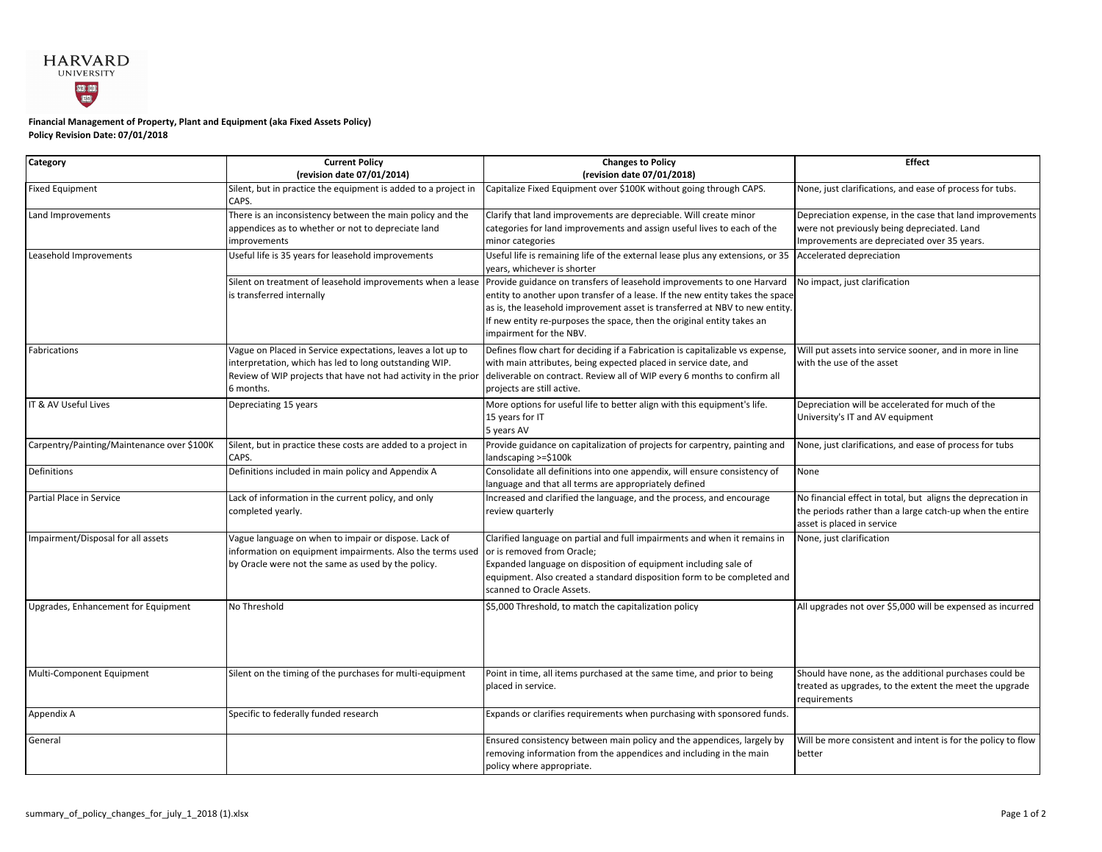## **HARVARD INGL 1801**<br>EZISL

## **Policy Revision Date: 07/01/2018 Financial Management of Property, Plant and Equipment (aka Fixed Assets Policy)**

| <b>Category</b>                            | <b>Current Policy</b>                                                   | <b>Changes to Policy</b>                                                                                      | <b>Effect</b>                                                |
|--------------------------------------------|-------------------------------------------------------------------------|---------------------------------------------------------------------------------------------------------------|--------------------------------------------------------------|
|                                            | (revision date 07/01/2014)                                              | (revision date 07/01/2018)                                                                                    |                                                              |
| <b>Fixed Equipment</b>                     | Silent, but in practice the equipment is added to a project in<br>CAPS. | Capitalize Fixed Equipment over \$100K without going through CAPS.                                            | None, just clarifications, and ease of process for tubs.     |
| Land Improvements                          | There is an inconsistency between the main policy and the               | Clarify that land improvements are depreciable. Will create minor                                             | Depreciation expense, in the case that land improvements     |
|                                            | appendices as to whether or not to depreciate land<br>improvements      | categories for land improvements and assign useful lives to each of the                                       | were not previously being depreciated. Land                  |
|                                            |                                                                         | minor categories                                                                                              | Improvements are depreciated over 35 years.                  |
| Leasehold Improvements                     | Useful life is 35 years for leasehold improvements                      | Useful life is remaining life of the external lease plus any extensions, or 35<br>years, whichever is shorter | Accelerated depreciation                                     |
|                                            | Silent on treatment of leasehold improvements when a lease              | Provide guidance on transfers of leasehold improvements to one Harvard                                        | No impact, just clarification                                |
|                                            | is transferred internally                                               | entity to another upon transfer of a lease. If the new entity takes the space                                 |                                                              |
|                                            |                                                                         | as is, the leasehold improvement asset is transferred at NBV to new entity.                                   |                                                              |
|                                            |                                                                         | If new entity re-purposes the space, then the original entity takes an                                        |                                                              |
|                                            |                                                                         | impairment for the NBV.                                                                                       |                                                              |
| Fabrications                               | Vague on Placed in Service expectations, leaves a lot up to             | Defines flow chart for deciding if a Fabrication is capitalizable vs expense,                                 | Will put assets into service sooner, and in more in line     |
|                                            | interpretation, which has led to long outstanding WIP.                  | with main attributes, being expected placed in service date, and                                              | with the use of the asset                                    |
|                                            | Review of WIP projects that have not had activity in the prior          | deliverable on contract. Review all of WIP every 6 months to confirm all                                      |                                                              |
|                                            | 6 months.                                                               | projects are still active.                                                                                    |                                                              |
| IT & AV Useful Lives                       | Depreciating 15 years                                                   | More options for useful life to better align with this equipment's life.                                      | Depreciation will be accelerated for much of the             |
|                                            |                                                                         | 15 years for IT                                                                                               | University's IT and AV equipment                             |
|                                            |                                                                         | 5 years AV                                                                                                    |                                                              |
| Carpentry/Painting/Maintenance over \$100K | Silent, but in practice these costs are added to a project in           | Provide guidance on capitalization of projects for carpentry, painting and                                    | None, just clarifications, and ease of process for tubs      |
|                                            | CAPS.                                                                   | landscaping >=\$100k                                                                                          |                                                              |
| Definitions                                | Definitions included in main policy and Appendix A                      | Consolidate all definitions into one appendix, will ensure consistency of                                     | None                                                         |
|                                            |                                                                         | language and that all terms are appropriately defined                                                         |                                                              |
| Partial Place in Service                   | Lack of information in the current policy, and only                     | Increased and clarified the language, and the process, and encourage                                          | No financial effect in total, but aligns the deprecation in  |
|                                            | completed yearly.                                                       | review quarterly                                                                                              | the periods rather than a large catch-up when the entire     |
|                                            |                                                                         |                                                                                                               | asset is placed in service                                   |
| Impairment/Disposal for all assets         | Vague language on when to impair or dispose. Lack of                    | Clarified language on partial and full impairments and when it remains in                                     | None, just clarification                                     |
|                                            | information on equipment impairments. Also the terms used               | or is removed from Oracle;                                                                                    |                                                              |
|                                            | by Oracle were not the same as used by the policy.                      | Expanded language on disposition of equipment including sale of                                               |                                                              |
|                                            |                                                                         | equipment. Also created a standard disposition form to be completed and                                       |                                                              |
|                                            |                                                                         | scanned to Oracle Assets.                                                                                     |                                                              |
| Upgrades, Enhancement for Equipment        | No Threshold                                                            | \$5,000 Threshold, to match the capitalization policy                                                         | All upgrades not over \$5,000 will be expensed as incurred   |
|                                            |                                                                         |                                                                                                               |                                                              |
|                                            |                                                                         |                                                                                                               |                                                              |
|                                            |                                                                         |                                                                                                               |                                                              |
|                                            |                                                                         |                                                                                                               |                                                              |
| Multi-Component Equipment                  | Silent on the timing of the purchases for multi-equipment               | Point in time, all items purchased at the same time, and prior to being                                       | Should have none, as the additional purchases could be       |
|                                            |                                                                         | placed in service.                                                                                            | treated as upgrades, to the extent the meet the upgrade      |
|                                            |                                                                         |                                                                                                               | requirements                                                 |
| Appendix A                                 | Specific to federally funded research                                   | Expands or clarifies requirements when purchasing with sponsored funds.                                       |                                                              |
| General                                    |                                                                         | Ensured consistency between main policy and the appendices, largely by                                        | Will be more consistent and intent is for the policy to flow |
|                                            |                                                                         | removing information from the appendices and including in the main                                            | better                                                       |
|                                            |                                                                         | policy where appropriate.                                                                                     |                                                              |